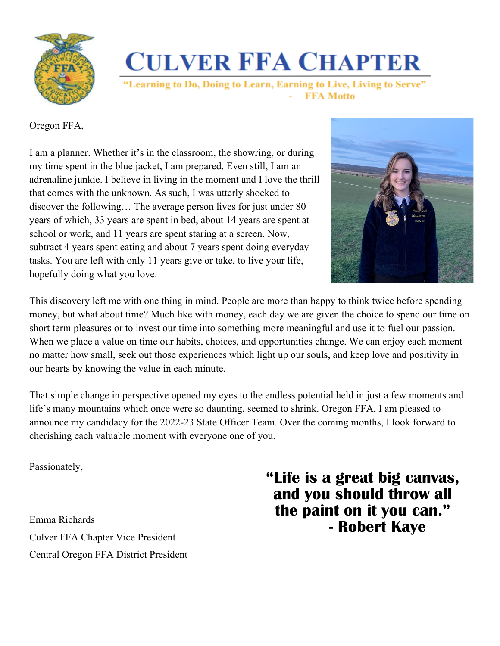

**CULVER FFA CHAPTER** 

"Learning to Do, Doing to Learn, Earning to Live, Living to Serve" **FFA Motto** 

Oregon FFA,

I am a planner. Whether it's in the classroom, the showring, or during my time spent in the blue jacket, I am prepared. Even still, I am an adrenaline junkie. I believe in living in the moment and I love the thrill that comes with the unknown. As such, I was utterly shocked to discover the following… The average person lives for just under 80 years of which, 33 years are spent in bed, about 14 years are spent at school or work, and 11 years are spent staring at a screen. Now, subtract 4 years spent eating and about 7 years spent doing everyday tasks. You are left with only 11 years give or take, to live your life, hopefully doing what you love.



This discovery left me with one thing in mind. People are more than happy to think twice before spending money, but what about time? Much like with money, each day we are given the choice to spend our time on short term pleasures or to invest our time into something more meaningful and use it to fuel our passion. When we place a value on time our habits, choices, and opportunities change. We can enjoy each moment no matter how small, seek out those experiences which light up our souls, and keep love and positivity in our hearts by knowing the value in each minute.

That simple change in perspective opened my eyes to the endless potential held in just a few moments and life's many mountains which once were so daunting, seemed to shrink. Oregon FFA, I am pleased to announce my candidacy for the 2022-23 State Officer Team. Over the coming months, I look forward to cherishing each valuable moment with everyone one of you.

Passionately,

Emma Richards Culver FFA Chapter Vice President Central Oregon FFA District President **"Life is a great big canvas, and you should throw all the paint on it you can." - Robert Kaye**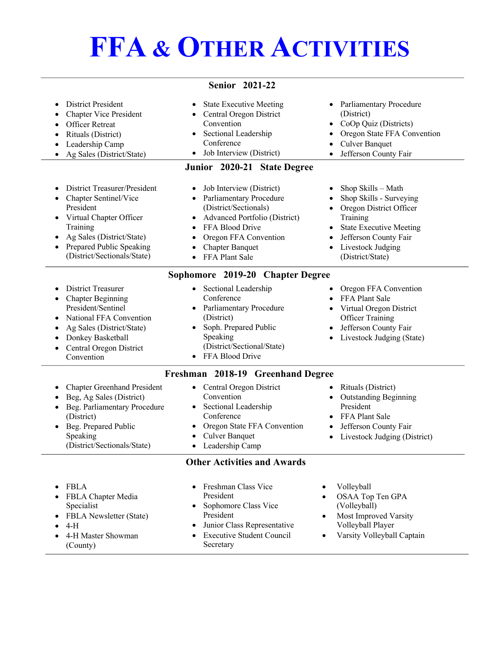## **FFA & OTHER ACTIVITIES**

| <b>District President</b><br><b>Chapter Vice President</b><br><b>Officer Retreat</b><br>Rituals (District)<br>Leadership Camp<br>Ag Sales (District/State)                                        | <b>Senior 2021-22</b><br><b>State Executive Meeting</b><br>Central Oregon District<br>$\bullet$<br>Convention<br>• Sectional Leadership<br>Conference<br>Job Interview (District)<br>$\bullet$                                                              | Parliamentary Procedure<br>(District)<br>• CoOp Quiz (Districts)<br>Oregon State FFA Convention<br>$\bullet$<br><b>Culver Banquet</b><br>$\bullet$<br>Jefferson County Fair<br>$\bullet$                           |
|---------------------------------------------------------------------------------------------------------------------------------------------------------------------------------------------------|-------------------------------------------------------------------------------------------------------------------------------------------------------------------------------------------------------------------------------------------------------------|--------------------------------------------------------------------------------------------------------------------------------------------------------------------------------------------------------------------|
|                                                                                                                                                                                                   | Junior 2020-21 State Degree                                                                                                                                                                                                                                 |                                                                                                                                                                                                                    |
| District Treasurer/President<br>Chapter Sentinel/Vice<br>President<br>Virtual Chapter Officer<br>Training<br>Ag Sales (District/State)<br>Prepared Public Speaking<br>(District/Sectionals/State) | Job Interview (District)<br>• Parliamentary Procedure<br>(District/Sectionals)<br>Advanced Portfolio (District)<br>$\bullet$<br>FFA Blood Drive<br>$\bullet$<br>Oregon FFA Convention<br>$\bullet$<br><b>Chapter Banquet</b><br>$\bullet$<br>FFA Plant Sale | Shop Skills - Math<br>Shop Skills - Surveying<br>Oregon District Officer<br>$\bullet$<br>Training<br><b>State Executive Meeting</b><br>$\bullet$<br>Jefferson County Fair<br>Livestock Judging<br>(District/State) |
|                                                                                                                                                                                                   | Sophomore 2019-20 Chapter Degree                                                                                                                                                                                                                            |                                                                                                                                                                                                                    |
| <b>District Treasurer</b><br><b>Chapter Beginning</b><br>President/Sentinel<br>National FFA Convention<br>Ag Sales (District/State)<br>Donkey Basketball<br>Central Oregon District<br>Convention | • Sectional Leadership<br>Conference<br>• Parliamentary Procedure<br>(District)<br>Soph. Prepared Public<br>Speaking<br>(District/Sectional/State)<br>• FFA Blood Drive                                                                                     | Oregon FFA Convention<br>FFA Plant Sale<br>Virtual Oregon District<br><b>Officer Training</b><br>Jefferson County Fair<br>Livestock Judging (State)                                                                |
|                                                                                                                                                                                                   | Freshman 2018-19 Greenhand Degree                                                                                                                                                                                                                           |                                                                                                                                                                                                                    |
| <b>Chapter Greenhand President</b><br>Beg, Ag Sales (District)<br>Beg. Parliamentary Procedure<br>(District)<br>Beg. Prepared Public<br>Speaking<br>(District/Sectionals/State)                   | • Central Oregon District<br>Convention<br>Sectional Leadership<br>Conference<br>Oregon State FFA Convention<br><b>Culver Banquet</b><br>$\bullet$<br>Leadership Camp<br>$\bullet$                                                                          | Rituals (District)<br>$\bullet$<br><b>Outstanding Beginning</b><br>$\bullet$<br>President<br>FFA Plant Sale<br>Jefferson County Fair<br>Livestock Judging (District)<br>$\bullet$                                  |
|                                                                                                                                                                                                   | <b>Other Activities and Awards</b>                                                                                                                                                                                                                          |                                                                                                                                                                                                                    |

| $\bullet$ FBLA<br>• FBLA Chapter Media<br>Specialist<br>• FBLA Newsletter (State)<br>$\bullet$ 4-H<br>• 4-H Master Showman<br>(County) | • Freshman Class Vice<br>President<br>• Sophomore Class Vice<br>President<br>• Junior Class Representative<br>• Executive Student Council<br>Secretary | Volleyball<br>OSAA Top Ten GPA<br>(Volleyball)<br>Most Improved Varsity<br>Volleyball Player<br>Varsity Volleyball Captain |
|----------------------------------------------------------------------------------------------------------------------------------------|--------------------------------------------------------------------------------------------------------------------------------------------------------|----------------------------------------------------------------------------------------------------------------------------|
|----------------------------------------------------------------------------------------------------------------------------------------|--------------------------------------------------------------------------------------------------------------------------------------------------------|----------------------------------------------------------------------------------------------------------------------------|